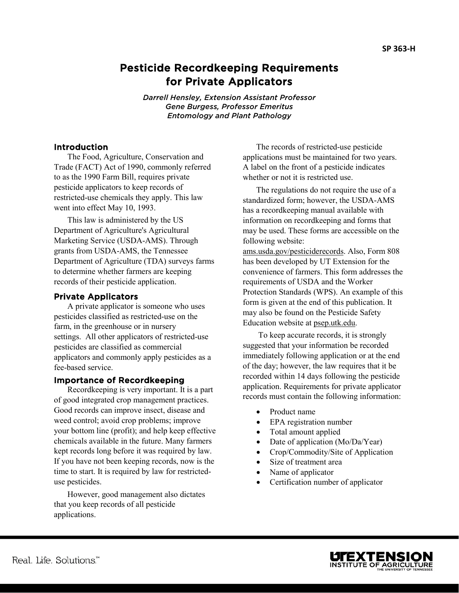# Pesticide Recordkeeping Requirements for Private Applicators

*Darrell Hensley, Extension Assistant Professor Gene Burgess, Professor Emeritus Entomology and Plant Pathology*

### **Introduction**

The Food, Agriculture, Conservation and Trade (FACT) Act of 1990, commonly referred to as the 1990 Farm Bill, requires private pesticide applicators to keep records of restricted-use chemicals they apply. This law went into effect May 10, 1993.

This law is administered by the US Department of Agriculture's Agricultural Marketing Service (USDA-AMS). Through grants from USDA-AMS, the Tennessee Department of Agriculture (TDA) surveys farms to determine whether farmers are keeping records of their pesticide application.

### Private Applicators

A private applicator is someone who uses pesticides classified as restricted-use on the farm, in the greenhouse or in nursery settings. All other applicators of restricted-use pesticides are classified as commercial applicators and commonly apply pesticides as a fee-based service.

### Importance of Recordkeeping

Recordkeeping is very important. It is a part of good integrated crop management practices. Good records can improve insect, disease and weed control; avoid crop problems; improve your bottom line (profit); and help keep effective chemicals available in the future. Many farmers kept records long before it was required by law. If you have not been keeping records, now is the time to start. It is required by law for restricteduse pesticides.

However, good management also dictates that you keep records of all pesticide applications.

The records of restricted-use pesticide applications must be maintained for two years. A label on the front of a pesticide indicates whether or not it is restricted use.

The regulations do not require the use of a standardized form; however, the USDA-AMS has a recordkeeping manual available with information on recordkeeping and forms that may be used. These forms are accessible on the following website:

[ams.usda.gov/pesticiderecords.](http://www.ams.usda.gov/pesticiderecords) Also, Form 808 has been developed by UT Extension for the convenience of farmers. This form addresses the requirements of USDA and the Worker Protection Standards (WPS). An example of this form is given at the end of this publication. It may also be found on the Pesticide Safety Education website at [psep.utk.edu.](http://psep.utk.edu/)

To keep accurate records, it is strongly suggested that your information be recorded immediately following application or at the end of the day; however, the law requires that it be recorded within 14 days following the pesticide application. Requirements for private applicator records must contain the following information:

- Product name
- EPA registration number
- Total amount applied
- Date of application (Mo/Da/Year)
- Crop/Commodity/Site of Application
- Size of treatment area
- Name of applicator
- Certification number of applicator



í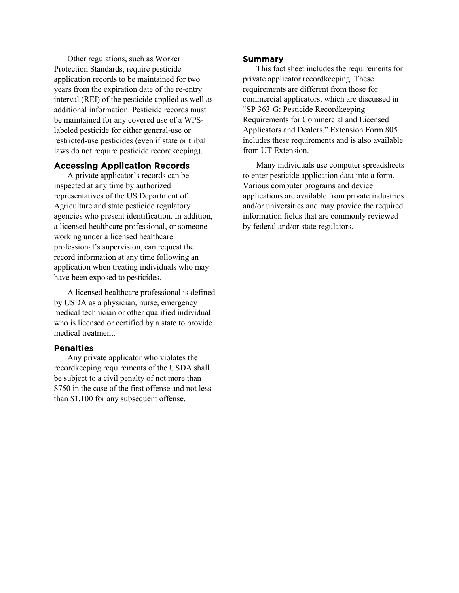Other regulations, such as Worker Protection Standards, require pesticide application records to be maintained for two years from the expiration date of the re-entry interval (REI) of the pesticide applied as well as additional information. Pesticide records must be maintained for any covered use of a WPSlabeled pesticide for either general-use or restricted-use pesticides (even if state or tribal laws do not require pesticide recordkeeping).

### Accessing Application Records

A private applicator's records can be inspected at any time by authorized representatives of the US Department of Agriculture and state pesticide regulatory agencies who present identification. In addition, a licensed healthcare professional, or someone working under a licensed healthcare professional's supervision, can request the record information at any time following an application when treating individuals who may have been exposed to pesticides.

A licensed healthcare professional is defined by USDA as a physician, nurse, emergency medical technician or other qualified individual who is licensed or certified by a state to provide medical treatment.

#### Penalties

Any private applicator who violates the recordkeeping requirements of the USDA shall be subject to a civil penalty of not more than \$750 in the case of the first offense and not less than \$1,100 for any subsequent offense.

#### Summary

This fact sheet includes the requirements for private applicator recordkeeping. These requirements are different from those for commercial applicators, which are discussed in "SP 363-G: Pesticide Recordkeeping Requirements for Commercial and Licensed Applicators and Dealers." Extension Form 805 includes these requirements and is also available from UT Extension.

Many individuals use computer spreadsheets to enter pesticide application data into a form. Various computer programs and device applications are available from private industries and/or universities and may provide the required information fields that are commonly reviewed by federal and/or state regulators.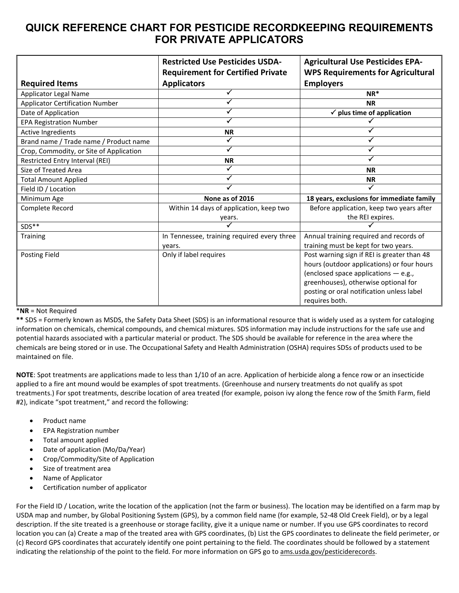## **QUICK REFERENCE CHART FOR PESTICIDE RECORDKEEPING REQUIREMENTS FOR PRIVATE APPLICATORS**

|                                         | <b>Restricted Use Pesticides USDA-</b><br><b>Requirement for Certified Private</b> | <b>Agricultural Use Pesticides EPA-</b><br><b>WPS Requirements for Agricultural</b> |  |  |
|-----------------------------------------|------------------------------------------------------------------------------------|-------------------------------------------------------------------------------------|--|--|
| <b>Required Items</b>                   | <b>Applicators</b>                                                                 | <b>Employers</b>                                                                    |  |  |
| Applicator Legal Name                   |                                                                                    | $NR^*$                                                                              |  |  |
| <b>Applicator Certification Number</b>  |                                                                                    | <b>NR</b>                                                                           |  |  |
| Date of Application                     |                                                                                    | $\checkmark$ plus time of application                                               |  |  |
| <b>EPA Registration Number</b>          |                                                                                    |                                                                                     |  |  |
| Active Ingredients                      | <b>NR</b>                                                                          |                                                                                     |  |  |
| Brand name / Trade name / Product name  |                                                                                    |                                                                                     |  |  |
| Crop, Commodity, or Site of Application |                                                                                    |                                                                                     |  |  |
| Restricted Entry Interval (REI)         | <b>NR</b>                                                                          |                                                                                     |  |  |
| Size of Treated Area                    |                                                                                    | <b>NR</b>                                                                           |  |  |
| <b>Total Amount Applied</b>             |                                                                                    | <b>NR</b>                                                                           |  |  |
| Field ID / Location                     |                                                                                    |                                                                                     |  |  |
| Minimum Age                             | None as of 2016                                                                    | 18 years, exclusions for immediate family                                           |  |  |
| Complete Record                         | Within 14 days of application, keep two                                            | Before application, keep two years after                                            |  |  |
|                                         | years.                                                                             | the REI expires.                                                                    |  |  |
| SDS**                                   |                                                                                    |                                                                                     |  |  |
| Training                                | In Tennessee, training required every three                                        | Annual training required and records of                                             |  |  |
|                                         | years.                                                                             | training must be kept for two years.                                                |  |  |
| <b>Posting Field</b>                    | Only if label requires                                                             | Post warning sign if REI is greater than 48                                         |  |  |
|                                         |                                                                                    | hours (outdoor applications) or four hours                                          |  |  |
|                                         |                                                                                    | (enclosed space applications - e.g.,                                                |  |  |
|                                         |                                                                                    | greenhouses), otherwise optional for                                                |  |  |
|                                         |                                                                                    | posting or oral notification unless label                                           |  |  |
|                                         |                                                                                    | requires both.                                                                      |  |  |

#### \***NR** = Not Required

**\*\*** SDS = Formerly known as MSDS, the Safety Data Sheet (SDS) is an informational resource that is widely used as a system for cataloging information on chemicals, chemical compounds, and chemical mixtures. SDS information may include instructions for the safe use and potential hazards associated with a particular material or product. The SDS should be available for reference in the area where the chemicals are being stored or in use. The Occupational Safety and Health Administration (OSHA) requires SDSs of products used to be maintained on file.

**NOTE**: Spot treatments are applications made to less than 1/10 of an acre. Application of herbicide along a fence row or an insecticide applied to a fire ant mound would be examples of spot treatments. (Greenhouse and nursery treatments do not qualify as spot treatments.) For spot treatments, describe location of area treated (for example, poison ivy along the fence row of the Smith Farm, field #2), indicate "spot treatment," and record the following:

- Product name
- EPA Registration number
- Total amount applied
- Date of application (Mo/Da/Year)
- Crop/Commodity/Site of Application
- Size of treatment area
- Name of Applicator
- Certification number of applicator

For the Field ID / Location, write the location of the application (not the farm or business). The location may be identified on a farm map by USDA map and number, by Global Positioning System (GPS), by a common field name (for example, 52-48 Old Creek Field), or by a legal description. If the site treated is a greenhouse or storage facility, give it a unique name or number. If you use GPS coordinates to record location you can (a) Create a map of the treated area with GPS coordinates, (b) List the GPS coordinates to delineate the field perimeter, or (c) Record GPS coordinates that accurately identify one point pertaining to the field. The coordinates should be followed by a statement indicating the relationship of the point to the field. For more information on GPS go to [ams.usda.gov/pesticiderecords.](http://www.ams.usda.gov/pesticiderecords)